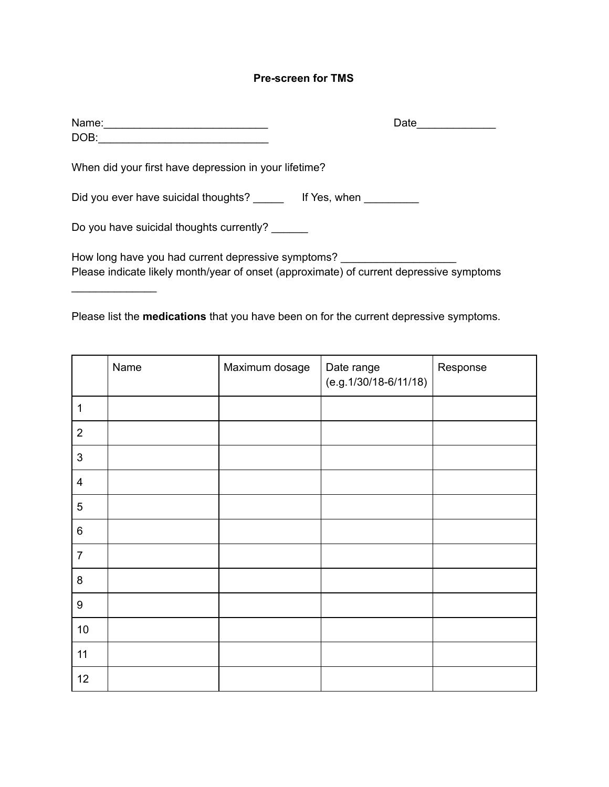## **Pre-screen for TMS**

| Name:                                                                                                                                         | Date |
|-----------------------------------------------------------------------------------------------------------------------------------------------|------|
| DOB:                                                                                                                                          |      |
| When did your first have depression in your lifetime?                                                                                         |      |
| Did you ever have suicidal thoughts? If Yes, when                                                                                             |      |
| Do you have suicidal thoughts currently?                                                                                                      |      |
| How long have you had current depressive symptoms?<br>Please indicate likely month/year of onset (approximate) of current depressive symptoms |      |

Please list the **medications** that you have been on for the current depressive symptoms.

 $\frac{1}{2}$  , where  $\frac{1}{2}$  , where  $\frac{1}{2}$ 

|                  | Name | Maximum dosage | Date range<br>$(e.g. 1/30/18-6/11/18)$ | Response |
|------------------|------|----------------|----------------------------------------|----------|
| $\mathbf{1}$     |      |                |                                        |          |
| $\overline{2}$   |      |                |                                        |          |
| $\mathbf{3}$     |      |                |                                        |          |
| $\overline{4}$   |      |                |                                        |          |
| $\sqrt{5}$       |      |                |                                        |          |
| $\,6\,$          |      |                |                                        |          |
| $\overline{7}$   |      |                |                                        |          |
| $\bf 8$          |      |                |                                        |          |
| $\boldsymbol{9}$ |      |                |                                        |          |
| $10$             |      |                |                                        |          |
| 11               |      |                |                                        |          |
| 12               |      |                |                                        |          |